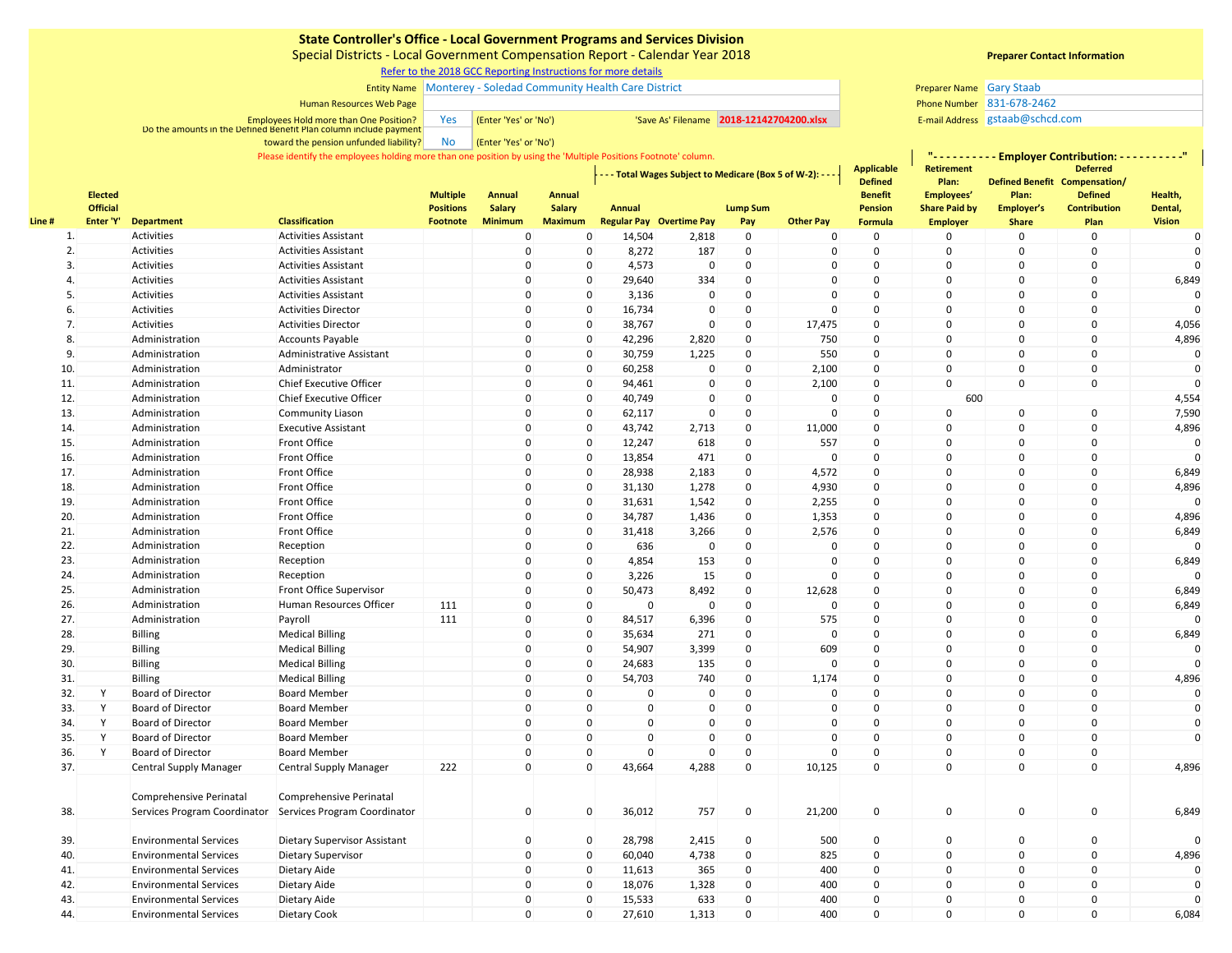Special Districts - Local Government Compensation Report - Calendar Year 2018

[R](https://www.sco.ca.gov/ard_locinstr_gcc_reporting.html)efer to the 2018 GCC Reporting Instructions for more details

### Entity Name Monterey - Soledad Community Health Care District Gary Staab Gary Staab Gary Staab Gary Staab Gary Staab

### Human Resources Web Page

Employees Hold more than One Position? The Management of the **'Yes' or 'No')** 'Save As' Filename 2018-12142704200.xlsx E-mail Address E-mail Address Do the amounts in the Defined Benefit Plan column include payment

> No (Enter 'Yes' or 'No') toward the pension unfunded liability?

Please identify the employees holding more than one position by using the 'Multiple Positions Footnote' column.

|       | <b>Elected</b>  |                                                         |                                                         | <b>Multiple</b>  | <b>Annual</b>  | <b>Annual</b>  |              | - - - Total Wages Subject to Medicare (Box 5 of W-2): - - - |                 |                  | Applicable<br><b>Defined</b><br><b>Benefit</b> | <b>Retirement</b><br>Plan:<br>Employees' | <b>Deferred</b><br>Defined Benefit Compensation/<br>Plan:<br><b>Defined</b> |                     | Health,       |
|-------|-----------------|---------------------------------------------------------|---------------------------------------------------------|------------------|----------------|----------------|--------------|-------------------------------------------------------------|-----------------|------------------|------------------------------------------------|------------------------------------------|-----------------------------------------------------------------------------|---------------------|---------------|
|       | <b>Official</b> |                                                         |                                                         | <b>Positions</b> | <b>Salary</b>  | <b>Salary</b>  | Annual       |                                                             | <b>Lump Sum</b> |                  | <b>Pension</b>                                 | <b>Share Paid by</b>                     | Employer's                                                                  | <b>Contribution</b> | Dental,       |
| Line# | Enter 'Y'       | <b>Department</b>                                       | <b>Classification</b>                                   | <b>Footnote</b>  | <b>Minimum</b> | <b>Maximum</b> |              | <b>Regular Pay Overtime Pay</b>                             | Pay             | <b>Other Pay</b> | Formula                                        | <b>Employer</b>                          | <b>Share</b>                                                                | Plan                | <b>Vision</b> |
| 1.    |                 | Activities                                              | <b>Activities Assistant</b>                             |                  | $\mathbf 0$    | $\Omega$       | 14,504       | 2,818                                                       | $\mathbf 0$     | $\mathbf 0$      | 0                                              | $\mathbf 0$                              | 0                                                                           | $\mathbf 0$         | 0             |
| 2.    |                 | Activities                                              | <b>Activities Assistant</b>                             |                  | $\mathbf 0$    | $\mathbf 0$    | 8,272        | 187                                                         | 0               | 0                | $\mathsf 0$                                    | 0                                        | $\mathbf 0$                                                                 | $\Omega$            | $\Omega$      |
| 3.    |                 | <b>Activities</b>                                       | <b>Activities Assistant</b>                             |                  | $\mathbf 0$    | $\Omega$       | 4,573        | $\mathbf 0$                                                 | 0               | $\Omega$         | $\mathsf 0$                                    | $\Omega$                                 | $\Omega$                                                                    | $\Omega$            | $\Omega$      |
| 4.    |                 | Activities                                              | <b>Activities Assistant</b>                             |                  | $\mathbf 0$    | $\Omega$       | 29,640       | 334                                                         | 0               | 0                | $\mathsf 0$                                    | $\mathbf 0$                              | 0                                                                           | $\mathbf 0$         | 6,849         |
| 5.    |                 | Activities                                              | <b>Activities Assistant</b>                             |                  | $\mathbf 0$    | $\Omega$       | 3,136        | $\mathbf 0$                                                 | 0               | $\mathbf{0}$     | 0                                              | $\pmb{0}$                                | 0                                                                           | $\mathbf 0$         | $\mathbf 0$   |
| 6.    |                 | Activities                                              | <b>Activities Director</b>                              |                  | $\mathbf 0$    | $\mathbf 0$    | 16,734       | $\mathbf 0$                                                 | 0               | $\mathbf 0$      | 0                                              | $\mathbf 0$                              | 0                                                                           | $\mathbf 0$         |               |
| 7.    |                 | Activities                                              | <b>Activities Director</b>                              |                  | $\mathbf 0$    | $\mathbf 0$    | 38,767       | $\mathbf 0$                                                 | 0               | 17,475           | 0                                              | $\Omega$                                 | $\Omega$                                                                    | $\mathsf 0$         | 4,056         |
| 8.    |                 | Administration                                          | <b>Accounts Payable</b>                                 |                  | $\mathbf 0$    | $\Omega$       | 42,296       | 2,820                                                       | $\Omega$        | 750              | 0                                              | $\Omega$                                 | $\Omega$                                                                    | $\mathsf 0$         | 4,896         |
| 9.    |                 | Administration                                          | Administrative Assistant                                |                  | $\mathbf 0$    | $\mathbf 0$    | 30,759       | 1,225                                                       | 0               | 550              | $\pmb{0}$                                      | $\mathbf 0$                              | $\Omega$                                                                    | $\mathsf 0$         | $\pmb{0}$     |
| 10.   |                 | Administration                                          | Administrator                                           |                  | $\mathbf 0$    | $\Omega$       | 60,258       | $\mathsf 0$                                                 | $\mathbf 0$     | 2,100            | 0                                              | $\mathbf 0$                              | 0                                                                           | $\mathsf 0$         | $\Omega$      |
| 11.   |                 | Administration                                          | Chief Executive Officer                                 |                  | $\mathbf 0$    | $\mathbf 0$    | 94,461       | $\mathbf 0$                                                 | 0               | 2,100            | 0                                              | $\Omega$                                 | $\Omega$                                                                    | $\mathbf 0$         | $\Omega$      |
| 12.   |                 | Administration                                          | <b>Chief Executive Officer</b>                          |                  | $\Omega$       | $\Omega$       | 40,749       | $\Omega$                                                    | $\mathbf 0$     | $\mathbf 0$      | $\mathbf 0$                                    | 600                                      |                                                                             |                     | 4,554         |
| 13.   |                 | Administration                                          | <b>Community Liason</b>                                 |                  | $\Omega$       | $\mathbf 0$    | 62,117       | $\Omega$                                                    | 0               | $\mathbf 0$      | 0                                              | 0                                        | 0                                                                           | $\mathsf 0$         | 7,590         |
| 14.   |                 | Administration                                          | <b>Executive Assistant</b>                              |                  | $\Omega$       | $\Omega$       | 43,742       | 2,713                                                       | 0               | 11,000           | $\pmb{0}$                                      | $\Omega$                                 | $\Omega$                                                                    | $\Omega$            | 4,896         |
| 15.   |                 | Administration                                          | Front Office                                            |                  | $\mathbf 0$    | $\Omega$       | 12,247       | 618                                                         | $\mathbf 0$     | 557              | $\mathbf 0$                                    | $\Omega$                                 | $\mathbf 0$                                                                 | $\Omega$            | $\mathbf 0$   |
| 16.   |                 | Administration                                          | Front Office                                            |                  | $\mathbf 0$    | $\Omega$       | 13,854       | 471                                                         | $\mathbf 0$     | $\mathbf 0$      | $\mathbf 0$                                    | $\Omega$                                 | $\mathbf 0$                                                                 | $\Omega$            | $\Omega$      |
| 17.   |                 | Administration                                          | Front Office                                            |                  | $\mathbf 0$    | $\Omega$       | 28,938       | 2,183                                                       | $\mathbf 0$     | 4,572            | 0                                              | $\mathbf 0$                              | $\mathbf 0$                                                                 | $\Omega$            | 6,849         |
| 18.   |                 | Administration                                          | Front Office                                            |                  | $\Omega$       | $\Omega$       | 31,130       | 1,278                                                       | 0               | 4,930            | 0                                              | $\Omega$                                 | $\Omega$                                                                    | $\mathbf 0$         | 4,896         |
| 19.   |                 | Administration                                          | Front Office                                            |                  | $\Omega$       | $\mathbf 0$    | 31,631       | 1,542                                                       | 0               | 2,255            | 0                                              | $\mathbf 0$                              | $\Omega$                                                                    | $\mathbf 0$         | $\Omega$      |
| 20.   |                 | Administration                                          | Front Office                                            |                  | $\Omega$       | $\Omega$       | 34,787       | 1,436                                                       | $\mathbf 0$     | 1,353            | $\mathbf 0$                                    | $\mathbf 0$                              | $\Omega$                                                                    | $\mathbf 0$         | 4,896         |
| 21.   |                 | Administration                                          | Front Office                                            |                  | $\mathbf 0$    | $\Omega$       | 31,418       | 3,266                                                       | $\mathbf 0$     | 2,576            | $\mathbf 0$                                    | $\mathbf 0$                              | $\Omega$                                                                    | $\Omega$            | 6,849         |
| 22.   |                 | Administration                                          | Reception                                               |                  | $\mathbf 0$    | $\mathbf 0$    | 636          | $\mathbf 0$                                                 | $\mathbf 0$     | $\mathbf 0$      | $\mathsf{O}$                                   | $\mathbf 0$                              | $\mathbf 0$                                                                 | $\mathbf 0$         | $\Omega$      |
| 23.   |                 | Administration                                          | Reception                                               |                  | $\mathbf 0$    | $\Omega$       | 4,854        | 153                                                         | $\mathbf 0$     | $\mathbf{0}$     | $\mathsf{O}$                                   | $\mathbf 0$                              | $\mathbf 0$                                                                 | $\mathbf 0$         | 6,849         |
| 24.   |                 | Administration                                          | Reception                                               |                  | $\mathbf 0$    | $\Omega$       | 3,226        | 15                                                          | 0               | $\mathbf 0$      | 0                                              | $\mathbf 0$                              | 0                                                                           | $\mathbf 0$         | $\Omega$      |
| 25.   |                 | Administration                                          | Front Office Supervisor                                 |                  | $\Omega$       | $\Omega$       | 50,473       | 8,492                                                       | 0               | 12,628           | 0                                              | $\Omega$                                 | $\Omega$                                                                    | $\Omega$            | 6,849         |
| 26.   |                 | Administration                                          | Human Resources Officer                                 | 111              | $\mathbf 0$    | $\Omega$       | $\mathbf{0}$ | $\mathbf{0}$                                                | $\mathbf 0$     | $\mathbf 0$      | $\mathbf 0$                                    | $\Omega$                                 | 0                                                                           | $\Omega$            | 6,849         |
| 27.   |                 | Administration                                          | Payroll                                                 | 111              | $\mathbf 0$    | $\Omega$       | 84,517       | 6,396                                                       | $\mathbf 0$     | 575              | $\mathbf 0$                                    | $\Omega$                                 | $\mathbf 0$                                                                 | $\Omega$            | $\mathbf 0$   |
| 28.   |                 | <b>Billing</b>                                          | <b>Medical Billing</b>                                  |                  | $\mathbf 0$    | $\Omega$       | 35,634       | 271                                                         | $\mathbf 0$     | 0                | 0                                              | $\Omega$                                 | $\mathbf 0$                                                                 | $\Omega$            | 6,849         |
| 29.   |                 | <b>Billing</b>                                          | <b>Medical Billing</b>                                  |                  | $\Omega$       | $\Omega$       | 54,907       | 3,399                                                       | 0               | 609              | 0                                              | $\mathbf 0$                              | $\Omega$                                                                    | $\mathbf 0$         | $\mathbf 0$   |
| 30.   |                 | <b>Billing</b>                                          | <b>Medical Billing</b>                                  |                  | $\mathbf 0$    | $\mathbf 0$    | 24,683       | 135                                                         | 0               | 0                | 0                                              | $\mathbf 0$                              | $\mathbf 0$                                                                 | $\mathsf 0$         | $\Omega$      |
| 31.   |                 | <b>Billing</b>                                          | <b>Medical Billing</b>                                  |                  | $\Omega$       | $\Omega$       | 54,703       | 740                                                         | $\mathbf 0$     | 1,174            | 0                                              | $\mathbf 0$                              | $\Omega$                                                                    | $\mathbf 0$         | 4,896         |
| 32.   | Y               | <b>Board of Director</b>                                | <b>Board Member</b>                                     |                  | $\mathbf 0$    | $\Omega$       | $\mathbf{0}$ | $\mathbf{0}$                                                | $\mathbf 0$     | $\mathbf{0}$     | $\mathbf 0$                                    | $\mathbf 0$                              | $\Omega$                                                                    | $\Omega$            | $\Omega$      |
| 33.   | Y               | <b>Board of Director</b>                                | <b>Board Member</b>                                     |                  | $\mathbf 0$    | $\mathbf 0$    | $\mathbf{0}$ | $\mathbf{0}$                                                | $\mathbf 0$     | $\mathbf 0$      | 0                                              | $\mathbf 0$                              | $\mathbf 0$                                                                 | $\mathbf 0$         | $\mathbf 0$   |
| 34.   | Y               | Board of Director                                       | <b>Board Member</b>                                     |                  | $\mathbf 0$    | $\mathbf 0$    | $\mathbf 0$  | $\Omega$                                                    | $\mathbf 0$     | $\mathbf 0$      | $\mathsf{O}$                                   | $\mathbf 0$                              | 0                                                                           | $\mathbf 0$         | $\mathbf 0$   |
| 35.   | Y               | <b>Board of Director</b>                                | <b>Board Member</b>                                     |                  | $\mathbf 0$    | $\mathbf 0$    | $\mathbf 0$  | $\Omega$                                                    | 0               | $\mathbf 0$      | 0                                              | $\mathbf 0$                              | 0                                                                           | $\mathbf 0$         | $\mathbf 0$   |
| 36.   | Y               | <b>Board of Director</b>                                | <b>Board Member</b>                                     |                  | $\mathbf 0$    | $\mathbf 0$    | $\mathbf 0$  | $\Omega$                                                    | 0               | $\mathbf 0$      | 0                                              | 0                                        | 0                                                                           | $\mathbf 0$         |               |
| 37.   |                 | <b>Central Supply Manager</b>                           | <b>Central Supply Manager</b>                           | 222              | $\Omega$       | $\Omega$       | 43,664       | 4,288                                                       | 0               | 10,125           | 0                                              | $\Omega$                                 | $\mathbf 0$                                                                 | $\mathbf 0$         | 4,896         |
| 38.   |                 | Comprehensive Perinatal<br>Services Program Coordinator | Comprehensive Perinatal<br>Services Program Coordinator |                  | $\mathsf 0$    | $\mathbf 0$    | 36,012       | 757                                                         | $\mathbf 0$     | 21,200           | $\mathsf 0$                                    | $\mathbf 0$                              | 0                                                                           | $\mathbf 0$         | 6,849         |
|       |                 |                                                         |                                                         |                  |                |                |              |                                                             |                 |                  |                                                |                                          |                                                                             |                     |               |
| 39.   |                 | <b>Environmental Services</b>                           | <b>Dietary Supervisor Assistant</b>                     |                  | $\mathbf 0$    | $\mathbf 0$    | 28,798       | 2,415                                                       | 0               | 500              | 0                                              | 0                                        | 0                                                                           | $\mathbf 0$         | 0             |
| 40.   |                 | <b>Environmental Services</b>                           | <b>Dietary Supervisor</b>                               |                  | $\mathbf 0$    | $\mathbf 0$    | 60,040       | 4,738                                                       | $\mathbf 0$     | 825              | $\mathsf{O}$                                   | $\mathbf 0$                              | $\Omega$                                                                    | $\mathsf 0$         | 4,896         |
| 41.   |                 | <b>Environmental Services</b>                           | Dietary Aide                                            |                  | $\mathbf 0$    | $\mathbf 0$    | 11,613       | 365                                                         | $\mathbf 0$     | 400              | 0                                              | 0                                        | 0                                                                           | $\mathsf 0$         | 0             |
| 42.   |                 | <b>Environmental Services</b>                           | Dietary Aide                                            |                  | $\mathbf 0$    | $\mathbf 0$    | 18,076       | 1,328                                                       | 0               | 400              | 0                                              | 0                                        | 0                                                                           | $\Omega$            | $\Omega$      |
| 43.   |                 | <b>Environmental Services</b>                           | Dietary Aide                                            |                  | $\mathbf 0$    | $\mathbf 0$    | 15,533       | 633                                                         | 0               | 400              | 0                                              | $\mathbf 0$                              | 0                                                                           | $\mathbf 0$         | <sup>0</sup>  |
| 44.   |                 | <b>Environmental Services</b>                           | Dietary Cook                                            |                  | $\mathbf 0$    | $\Omega$       | 27,610       | 1,313                                                       | $\mathbf 0$     | 400              | $\Omega$                                       | $\Omega$                                 | 0                                                                           | $\Omega$            | 6,084         |

## **Preparer Contact Information**

**"- - - - - - - - - - Employer Contribution: - - - - - - - - - -"**

Phone Number 831-678-2462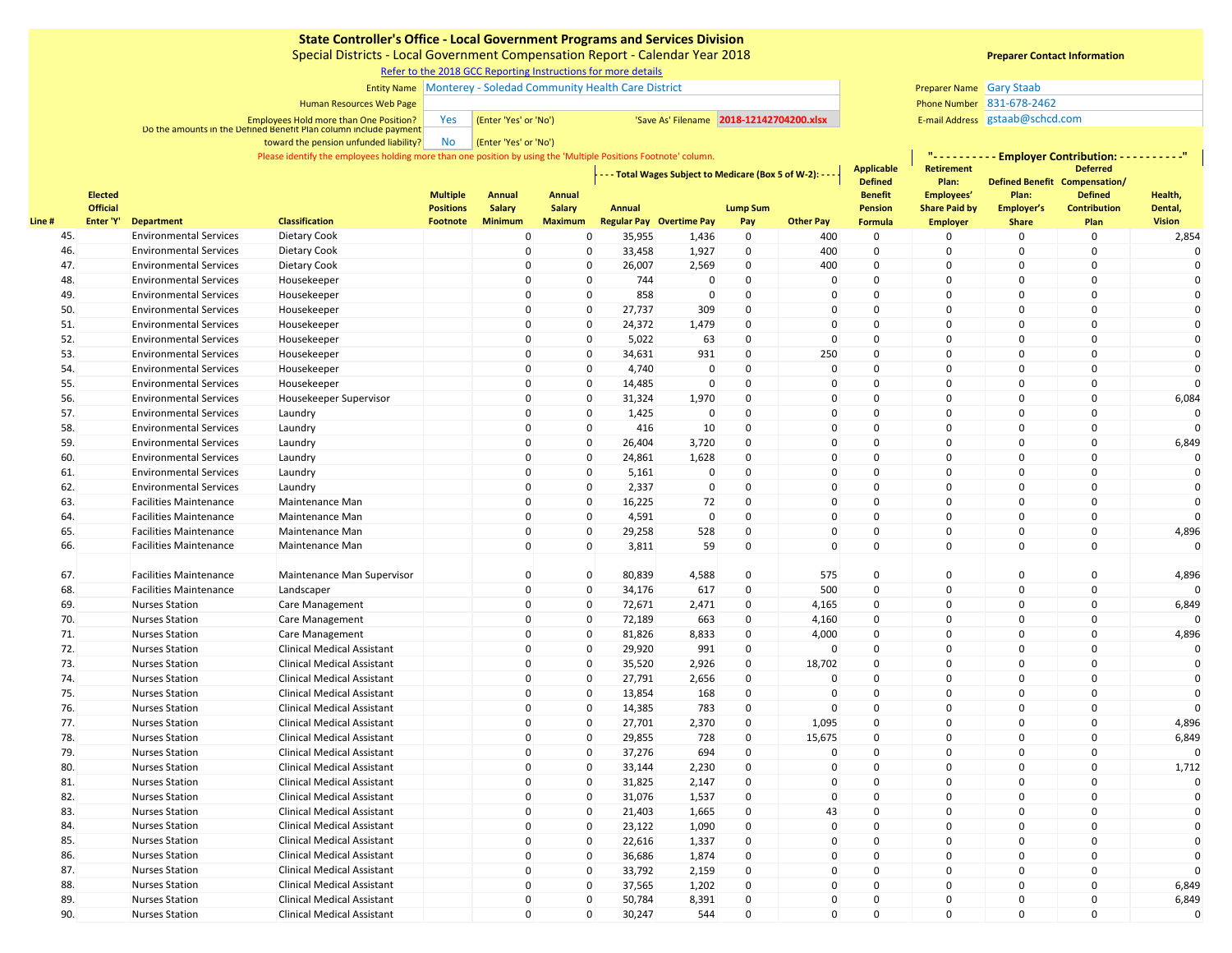Special Districts - Local Government Compensation Report - Calendar Year 2018

[R](https://www.sco.ca.gov/ard_locinstr_gcc_reporting.html)efer to the 2018 GCC Reporting Instructions for more details

### Entity Name Monterey - Soledad Community Health Care District Gary Staab Gary Staab Gary Staab Gary Staab Gary Staab

#### Human Resources Web Page

Employees Hold more than One Position? The Management of the **'Yes' or 'No')** 'Save As' Filename 2018-12142704200.xlsx E-mail Address E-mail Address Do the amounts in the Defined Benefit Plan column include payment

No (Enter 'Yes' or 'No') toward the pension unfunded liability?

Please identify the employees holding more than one position by using the 'Multiple Positions Footnote' column.

|        |           | <b>Elected</b>  |                               | <b>Classification</b>             | <b>Multiple</b>              | <b>Annual</b>                   | Annual                          |                  | - - - Total Wages Subject to Medicare (Box 5 of W-2): - - |                        |                  | <b>Applicable</b><br><b>Defined</b><br><b>Benefit</b> | <b>Retirement</b><br>Plan:<br>Employees' | Plan:                      | <b>Deferred</b><br>Defined Benefit Compensation/<br><b>Defined</b> | Health,<br>Dental,<br><b>Vision</b> |
|--------|-----------|-----------------|-------------------------------|-----------------------------------|------------------------------|---------------------------------|---------------------------------|------------------|-----------------------------------------------------------|------------------------|------------------|-------------------------------------------------------|------------------------------------------|----------------------------|--------------------------------------------------------------------|-------------------------------------|
| Line # | Enter 'Y' | <b>Official</b> | <b>Department</b>             |                                   | <b>Positions</b><br>Footnote | <b>Salary</b><br><b>Minimum</b> | <b>Salary</b><br><b>Maximum</b> | Annual           | <b>Regular Pay Overtime Pay</b>                           | <b>Lump Sum</b><br>Pay | <b>Other Pay</b> | <b>Pension</b><br><b>Formula</b>                      | <b>Share Paid by</b>                     | Employer's<br><b>Share</b> | <b>Contribution</b><br>Plan                                        |                                     |
|        | 45.       |                 | <b>Environmental Services</b> | Dietary Cook                      |                              | 0                               | 0                               | 35,955           | 1,436                                                     | $\mathbf 0$            | 400              | $\mathbf 0$                                           | <b>Employer</b><br>0                     | $\mathbf 0$                | $\mathbf 0$                                                        | 2,854                               |
|        | 46.       |                 | <b>Environmental Services</b> | Dietary Cook                      |                              | 0                               | $\mathbf 0$                     | 33,458           | 1,927                                                     | $\mathbf 0$            | 400              | $\mathbf 0$                                           | 0                                        | $\mathsf 0$                | $\mathbf 0$                                                        | $\mathbf 0$                         |
|        | 47.       |                 | <b>Environmental Services</b> | Dietary Cook                      |                              | $\mathbf 0$                     | $\Omega$                        | 26,007           | 2,569                                                     | $\mathbf 0$            | 400              | $\mathbf 0$                                           | 0                                        | $\mathbf 0$                | $\Omega$                                                           | $\Omega$                            |
|        | 48.       |                 | <b>Environmental Services</b> | Housekeeper                       |                              | $\Omega$                        | $\Omega$                        | 744              | $\Omega$                                                  | $\Omega$               | $\Omega$         | $\Omega$                                              | 0                                        | $\mathbf 0$                | $\Omega$                                                           | $\Omega$                            |
|        | 49.       |                 | <b>Environmental Services</b> | Housekeeper                       |                              | $\mathsf 0$                     | $\mathbf 0$                     | 858              | $\mathbf 0$                                               | $\mathbf 0$            | $\mathbf 0$      | $\Omega$                                              | $\mathbf 0$                              | $\mathbf 0$                | $\mathbf 0$                                                        | $\mathbf{0}$                        |
|        | 50.       |                 | <b>Environmental Services</b> | Housekeeper                       |                              | $\overline{0}$                  | $\mathbf 0$                     | 27,737           | 309                                                       | $\mathbf 0$            | $\Omega$         | $\Omega$                                              | 0                                        | $\mathbf 0$                | $\mathbf 0$                                                        | $\mathbf{0}$                        |
|        | 51.       |                 | <b>Environmental Services</b> | Housekeeper                       |                              | $\mathbf 0$                     | 0                               | 24,372           | 1,479                                                     | $\mathbf 0$            | $\Omega$         | $\mathbf 0$                                           | 0                                        | $\mathbf 0$                | $\mathbf 0$                                                        | $\mathbf{0}$                        |
|        | 52.       |                 | <b>Environmental Services</b> | Housekeeper                       |                              | $\overline{0}$                  | 0                               | 5,022            | 63                                                        | $\mathbf 0$            | $\overline{0}$   | 0                                                     | $\mathsf 0$                              | $\mathbf 0$                | $\mathbf 0$                                                        | $\mathbf 0$                         |
|        | 53.       |                 | <b>Environmental Services</b> | Housekeeper                       |                              | $\mathbf 0$                     | 0                               | 34,631           | 931                                                       | $\mathbf 0$            | 250              | $\mathsf 0$                                           | 0                                        | $\mathbf 0$                | $\mathbf 0$                                                        | $\mathbf{0}$                        |
|        | 54.       |                 | <b>Environmental Services</b> | Housekeeper                       |                              | $\overline{0}$                  | 0                               | 4,740            | $\Omega$                                                  | $\mathbf 0$            | $\mathbf 0$      | 0                                                     | 0                                        | $\mathbf 0$                | $\Omega$                                                           | $\Omega$                            |
|        | 55.       |                 | <b>Environmental Services</b> | Housekeeper                       |                              | $\mathsf 0$                     | 0                               | 14,485           | $\mathbf{0}$                                              | $\mathbf 0$            | $\mathbf 0$      | $\mathbf 0$                                           | 0                                        | $\mathbf 0$                | 0                                                                  | $\Omega$                            |
|        | 56.       |                 | <b>Environmental Services</b> | Housekeeper Supervisor            |                              | $\mathsf 0$                     | $\Omega$                        | 31,324           | 1,970                                                     | $\pmb{0}$              | $\Omega$         | $\Omega$                                              | 0                                        | $\mathbf 0$                | 0                                                                  | 6,084                               |
|        | 57.       |                 | <b>Environmental Services</b> | Laundry                           |                              | $\mathsf 0$                     | 0                               | 1,425            | $\mathbf 0$                                               | $\mathbf 0$            | $\overline{0}$   | $\mathbf 0$                                           | 0                                        | $\mathbf 0$                | 0                                                                  | $\Omega$                            |
|        | 58.       |                 | <b>Environmental Services</b> | Laundry                           |                              | $\mathsf 0$                     | $\Omega$                        | 416              | 10                                                        | $\mathbf 0$            | $\Omega$         | $\Omega$                                              | 0                                        | $\mathbf 0$                | $\Omega$                                                           |                                     |
|        | 59.       |                 | <b>Environmental Services</b> | Laundry                           |                              | $\mathbf 0$                     | $\Omega$                        | 26,404           | 3,720                                                     | $\Omega$               | $\Omega$         | $\Omega$                                              | $\mathbf 0$                              | $\mathbf 0$                | $\Omega$                                                           | 6,849                               |
|        | 60.       |                 | <b>Environmental Services</b> | Laundry                           |                              | $\Omega$                        | $\Omega$                        | 24,861           | 1,628                                                     | $\Omega$               | $\Omega$         | $\Omega$                                              | 0                                        | $\Omega$                   | $\Omega$                                                           |                                     |
|        | 61.       |                 | <b>Environmental Services</b> | Laundry                           |                              | $\Omega$                        | $\Omega$                        | 5,161            | $\Omega$                                                  | $\mathbf 0$            | $\Omega$         | $\Omega$                                              | $\mathbf 0$                              | $\mathbf 0$                | $\Omega$                                                           | $\Omega$                            |
|        | 62.       |                 | <b>Environmental Services</b> | Laundry                           |                              | $\mathbf 0$                     | $\Omega$                        | 2,337            | $\mathbf{0}$                                              | $\mathbf 0$            | $\Omega$         | $\Omega$                                              | $\mathbf 0$                              | $\mathbf 0$                | $\mathbf 0$                                                        | $\Omega$                            |
|        | 63.       |                 | <b>Facilities Maintenance</b> | Maintenance Man                   |                              | $\Omega$                        | 0                               | 16,225           | 72                                                        | $\mathbf 0$            | $\Omega$         | $\Omega$                                              | 0                                        | $\mathbf 0$                | $\Omega$                                                           | $\Omega$                            |
|        | 64.       |                 | <b>Facilities Maintenance</b> | Maintenance Man                   |                              | $\mathbf 0$                     | $\Omega$                        | 4,591            | $\Omega$                                                  | $\mathbf 0$            | $\Omega$         | $\Omega$                                              | $\mathsf 0$                              | $\mathbf 0$                | $\mathbf 0$                                                        | $\Omega$                            |
|        | 65.       |                 | <b>Facilities Maintenance</b> | Maintenance Man                   |                              | $\mathsf 0$                     | 0                               | 29,258           | 528                                                       | $\mathbf 0$            | $\Omega$         | $\mathbf 0$                                           | 0                                        | $\mathbf 0$                | $\Omega$                                                           | 4,896                               |
|        | 66.       |                 | <b>Facilities Maintenance</b> | Maintenance Man                   |                              | $\mathbf 0$                     | $\Omega$                        | 3,811            | 59                                                        | $\mathbf 0$            | $\Omega$         | $\mathbf 0$                                           | $\mathbf 0$                              | $\mathbf 0$                | $\mathbf 0$                                                        | $\Omega$                            |
|        | 67.       |                 | <b>Facilities Maintenance</b> | Maintenance Man Supervisor        |                              | $\mathsf 0$                     | $\mathbf 0$                     |                  | 4,588                                                     | $\mathbf 0$            | 575              | $\mathbf 0$                                           | 0                                        | $\mathbf 0$                | $\mathbf 0$                                                        |                                     |
|        | 68.       |                 | <b>Facilities Maintenance</b> | Landscaper                        |                              | $\mathbf 0$                     | $\mathbf{0}$                    | 80,839           | 617                                                       | $\mathbf 0$            | 500              | $\Omega$                                              | 0                                        | $\mathbf 0$                | $\mathbf 0$                                                        | 4,896                               |
|        | 69.       |                 | <b>Nurses Station</b>         | <b>Care Management</b>            |                              | $\mathbf 0$                     | $\Omega$                        | 34,176<br>72,671 | 2,471                                                     | $\Omega$               | 4,165            | $\Omega$                                              | $\mathbf 0$                              | $\mathbf 0$                | $\Omega$                                                           | 6,849                               |
|        | 70.       |                 | <b>Nurses Station</b>         | Care Management                   |                              | $\Omega$                        | $\Omega$                        | 72,189           | 663                                                       | $\Omega$               | 4,160            | $\mathbf 0$                                           | $\mathbf 0$                              | $\mathbf 0$                | $\mathbf 0$                                                        | $\Omega$                            |
|        | 71.       |                 | <b>Nurses Station</b>         | Care Management                   |                              | $\Omega$                        | $\Omega$                        | 81,826           | 8,833                                                     | $\mathbf 0$            | 4,000            | $\Omega$                                              | $\mathbf 0$                              | $\mathbf 0$                | $\Omega$                                                           | 4,896                               |
|        | 72.       |                 | <b>Nurses Station</b>         | <b>Clinical Medical Assistant</b> |                              | $\mathbf 0$                     | $\Omega$                        | 29,920           | 991                                                       | $\mathbf 0$            | $\mathbf{0}$     | $\Omega$                                              | $\mathbf 0$                              | $\mathbf 0$                | $\mathbf 0$                                                        | $\mathbf{0}$                        |
|        | 73.       |                 | <b>Nurses Station</b>         | <b>Clinical Medical Assistant</b> |                              | $\Omega$                        | 0                               | 35,520           | 2,926                                                     | $\mathbf 0$            | 18,702           | $\mathbf 0$                                           | 0                                        | $\mathsf 0$                | $\Omega$                                                           | $\mathbf{0}$                        |
|        | 74.       |                 | <b>Nurses Station</b>         | <b>Clinical Medical Assistant</b> |                              | $\Omega$                        | $\Omega$                        | 27,791           | 2,656                                                     | $\mathbf 0$            | $\Omega$         | $\mathbf 0$                                           | 0                                        | $\Omega$                   | $\Omega$                                                           | $\mathbf{0}$                        |
|        | 75.       |                 | <b>Nurses Station</b>         | <b>Clinical Medical Assistant</b> |                              | $\Omega$                        | 0                               | 13,854           | 168                                                       | $\mathbf 0$            | $\Omega$         | $\mathbf 0$                                           | 0                                        | $\mathbf 0$                | $\Omega$                                                           | $\Omega$                            |
|        | 76.       |                 | <b>Nurses Station</b>         | <b>Clinical Medical Assistant</b> |                              | $\mathbf 0$                     | $\mathbf{0}$                    | 14,385           | 783                                                       | $\mathbf 0$            | $\Omega$         | $\mathbf 0$                                           | $\mathbf 0$                              | $\mathbf 0$                | $\mathbf 0$                                                        | $\Omega$                            |
|        | 77.       |                 | <b>Nurses Station</b>         | <b>Clinical Medical Assistant</b> |                              | $\mathbf 0$                     | $\mathbf 0$                     | 27,701           | 2,370                                                     | $\mathbf 0$            | 1,095            | $\mathbf 0$                                           | 0                                        | $\mathbf 0$                | $\mathbf 0$                                                        | 4,896                               |
|        | 78.       |                 | <b>Nurses Station</b>         | <b>Clinical Medical Assistant</b> |                              | $\mathbf 0$                     | $\mathbf{0}$                    | 29,855           | 728                                                       | $\mathbf 0$            | 15,675           | $\mathbf 0$                                           | 0                                        | $\mathbf 0$                | $\mathbf 0$                                                        | 6,849                               |
|        | 79.       |                 | <b>Nurses Station</b>         | <b>Clinical Medical Assistant</b> |                              | $\mathbf 0$                     | $\Omega$                        | 37,276           | 694                                                       | $\mathbf 0$            | $\mathbf 0$      | $\Omega$                                              | 0                                        | $\mathbf 0$                | $\mathbf 0$                                                        | $\Omega$                            |
|        | 80.       |                 | <b>Nurses Station</b>         | <b>Clinical Medical Assistant</b> |                              | $\mathbf 0$                     | $\Omega$                        | 33,144           | 2,230                                                     | $\Omega$               | $\Omega$         | $\Omega$                                              | $\mathbf 0$                              | $\mathbf 0$                | $\Omega$                                                           | 1,712                               |
|        | 81.       |                 | <b>Nurses Station</b>         | <b>Clinical Medical Assistant</b> |                              | $\mathbf 0$                     | $\Omega$                        | 31,825           | 2,147                                                     | $\mathbf 0$            | $\Omega$         | $\Omega$                                              | 0                                        | $\mathbf 0$                | $\Omega$                                                           | $\Omega$                            |
|        | 82.       |                 | <b>Nurses Station</b>         | <b>Clinical Medical Assistant</b> |                              | $\mathbf 0$                     | $\mathbf{0}$                    | 31,076           | 1,537                                                     | $\mathbf 0$            | $\Omega$         | $\Omega$                                              | $\mathbf 0$                              | $\mathbf 0$                | $\Omega$                                                           | $\Omega$                            |
|        | 83.       |                 | <b>Nurses Station</b>         | <b>Clinical Medical Assistant</b> |                              | $\Omega$                        | $\mathbf{0}$                    | 21,403           | 1,665                                                     | $\mathbf 0$            | 43               | $\Omega$                                              | 0                                        | $\mathbf 0$                | $\mathbf 0$                                                        | $\mathbf{0}$                        |
|        | 84.       |                 | <b>Nurses Station</b>         | <b>Clinical Medical Assistant</b> |                              | $\overline{0}$                  | 0                               | 23,122           | 1,090                                                     | $\mathbf 0$            | $\mathbf 0$      | $\Omega$                                              | 0                                        | $\mathbf 0$                | $\Omega$                                                           | $\mathbf 0$                         |
|        | 85.       |                 | <b>Nurses Station</b>         | <b>Clinical Medical Assistant</b> |                              | $\mathbf 0$                     | $\mathbf 0$                     | 22,616           | 1,337                                                     | $\mathbf 0$            | $\Omega$         | $\mathbf 0$                                           | 0                                        | $\mathbf 0$                | $\Omega$                                                           | $\mathbf{0}$                        |
|        | 86.       |                 | <b>Nurses Station</b>         | <b>Clinical Medical Assistant</b> |                              | $\Omega$                        | 0                               | 36,686           | 1,874                                                     | $\mathbf 0$            | $\Omega$         | $\mathbf 0$                                           | 0                                        | $\mathbf 0$                | $\Omega$                                                           | $\Omega$                            |
|        | 87.       |                 | <b>Nurses Station</b>         | <b>Clinical Medical Assistant</b> |                              | $\Omega$                        | $\Omega$                        | 33,792           | 2,159                                                     | $\mathbf 0$            | $\Omega$         | $\mathbf 0$                                           | 0                                        | $\mathbf 0$                | $\Omega$                                                           | $\Omega$                            |
|        | 88.       |                 | <b>Nurses Station</b>         | <b>Clinical Medical Assistant</b> |                              | 0                               | $\mathbf 0$                     | 37,565           | 1,202                                                     | $\mathbf 0$            | $\Omega$         | $\mathbf 0$                                           | 0                                        | $\mathbf 0$                | $\mathbf 0$                                                        | 6,849                               |
|        | 89.       |                 | <b>Nurses Station</b>         | <b>Clinical Medical Assistant</b> |                              | $\mathbf 0$                     | 0                               | 50,784           | 8,391                                                     | $\mathbf 0$            | $\Omega$         | $\mathbf 0$                                           | 0                                        | $\mathbf 0$                | $\mathbf 0$                                                        | 6,849                               |
|        | 90.       |                 | <b>Nurses Station</b>         | <b>Clinical Medical Assistant</b> |                              | $\mathbf 0$                     | $\Omega$                        | 30,247           | 544                                                       | $\Omega$               | $\mathbf 0$      | $\Omega$                                              | $\mathbf 0$                              | $\mathbf 0$                | $\Omega$                                                           | $\mathbf 0$                         |
|        |           |                 |                               |                                   |                              |                                 |                                 |                  |                                                           |                        |                  |                                                       |                                          |                            |                                                                    |                                     |

## **Preparer Contact Information**

**"- - - - - - - - - - Employer Contribution: - - - - - - - - - -"**

Phone Number 831-678-2462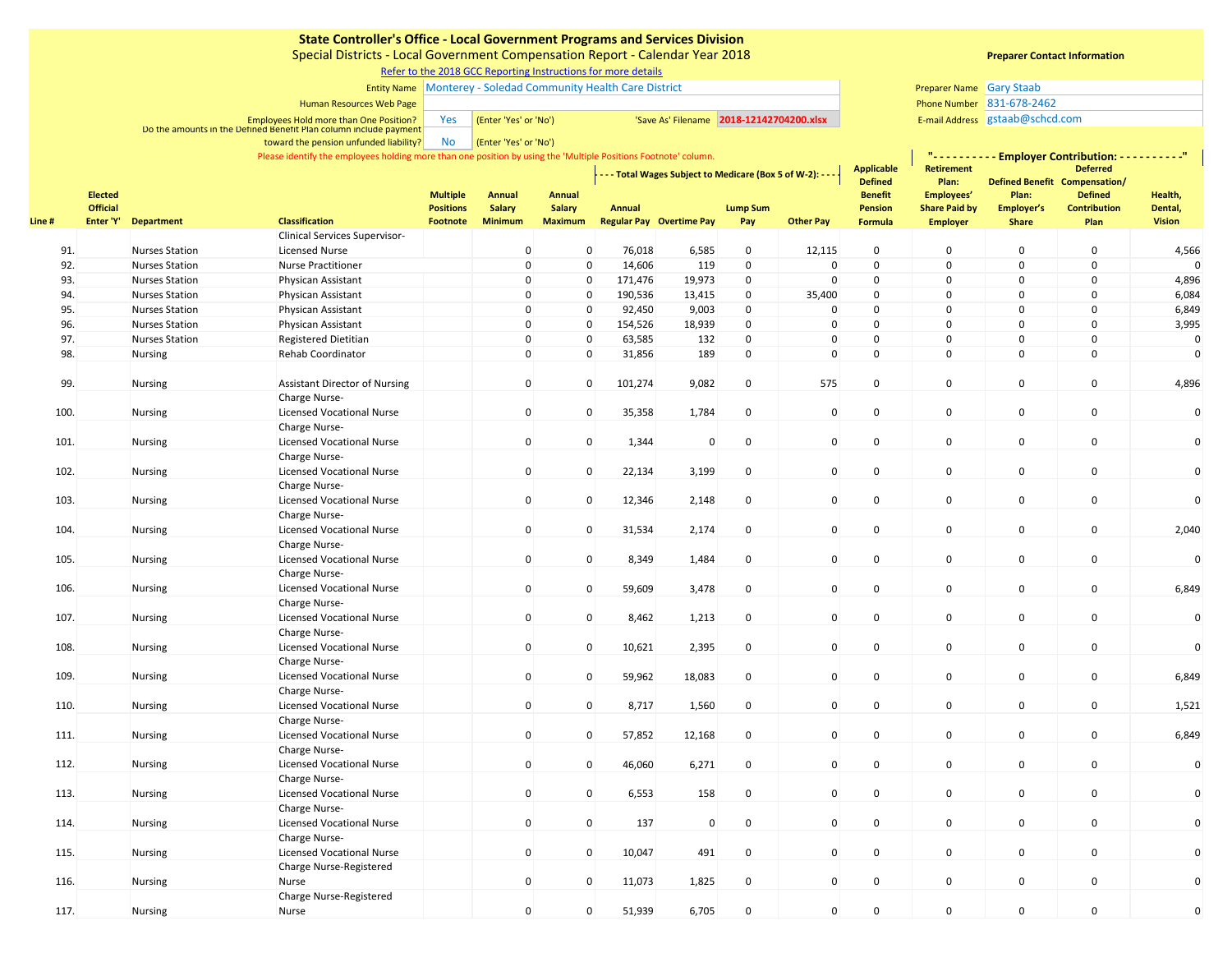Special Districts - Local Government Compensation Report - Calendar Year 2018

[R](https://www.sco.ca.gov/ard_locinstr_gcc_reporting.html)efer to the 2018 GCC Reporting Instructions for more details

### Entity Name Monterey - Soledad Community Health Care District Gary Staab Gary Staab Gary Staab Gary Staab Gary Staab

#### Human Resources Web Page

Employees Hold more than One Position? The Management of the **'Yes' or 'No')** 'Save As' Filename 2018-12142704200.xlsx E-mail Address E-mail Address Do the amounts in the Defined Benefit Plan column include payment

> No (Enter 'Yes' or 'No') toward the pension unfunded liability?

Please identify the employees holding more than one position by using the 'Multiple Positions Footnote' column.

|       | <b>Elected</b>  |                       |                                                   | <b>Multiple</b><br><b>Positions</b> | <b>Annual</b><br>Salary<br><b>Minimum</b> | <b>Annual</b>       |         | - - - Total Wages Subject to Medicare (Box 5 of W-2): - - - |                 |                     | <b>Applicable</b><br><b>Defined</b><br><b>Benefit</b> | <b>Retirement</b><br>Plan:<br>Employees' | <b>Deferred</b><br>Defined Benefit Compensation/<br>Plan:<br><b>Defined</b> |                     | Health,       |  |
|-------|-----------------|-----------------------|---------------------------------------------------|-------------------------------------|-------------------------------------------|---------------------|---------|-------------------------------------------------------------|-----------------|---------------------|-------------------------------------------------------|------------------------------------------|-----------------------------------------------------------------------------|---------------------|---------------|--|
|       | <b>Official</b> |                       |                                                   |                                     |                                           | <b>Salary</b>       | Annual  |                                                             | <b>Lump Sum</b> |                     | <b>Pension</b>                                        | <b>Share Paid by</b>                     | Employer's                                                                  | <b>Contribution</b> | Dental,       |  |
| Line# | Enter 'Y'       | <b>Department</b>     | <b>Classification</b>                             | Footnote                            |                                           | <b>Maximum</b>      |         | <b>Regular Pay Overtime Pay</b>                             | Pay             | <b>Other Pay</b>    | <b>Formula</b>                                        | <b>Employer</b>                          | <b>Share</b>                                                                | Plan                | <b>Vision</b> |  |
|       |                 |                       | Clinical Services Supervisor-                     |                                     |                                           |                     |         |                                                             |                 |                     |                                                       |                                          |                                                                             |                     |               |  |
| 91.   |                 | <b>Nurses Station</b> | <b>Licensed Nurse</b>                             |                                     | $\overline{0}$                            | $\mathbf{0}$        | 76,018  | 6,585                                                       | 0               | 12,115              | 0                                                     | $\mathsf 0$                              | $\mathbf 0$                                                                 | $\Omega$            | 4,566         |  |
| 92.   |                 | <b>Nurses Station</b> | <b>Nurse Practitioner</b>                         |                                     | $\mathsf 0$                               | $\Omega$            | 14,606  | 119                                                         | $\mathbf 0$     | $\mathbf 0$         | 0                                                     | $\pmb{0}$                                | $\mathbf 0$                                                                 | $\mathbf 0$         | $\Omega$      |  |
| 93.   |                 | <b>Nurses Station</b> | Physican Assistant                                |                                     | $\mathsf 0$                               | $\Omega$            | 171,476 | 19,973                                                      | 0               | $\mathbf 0$         | 0                                                     | $\pmb{0}$                                | $\mathbf 0$                                                                 | $\mathbf 0$         | 4,896         |  |
| 94.   |                 | <b>Nurses Station</b> | Physican Assistant                                |                                     | $\mathbf 0$                               | $\Omega$            | 190,536 | 13,415                                                      | 0               | 35,400              | 0                                                     | $\mathsf 0$                              | $\mathbf 0$                                                                 | $\mathbf 0$         | 6,084         |  |
| 95.   |                 | <b>Nurses Station</b> | Physican Assistant                                |                                     | $\mathbf 0$                               | $\mathsf{O}\xspace$ | 92,450  | 9,003                                                       | $\mathsf 0$     | $\Omega$            | 0                                                     | $\pmb{0}$                                | $\mathsf 0$                                                                 | $\mathsf 0$         | 6,849         |  |
| 96.   |                 | <b>Nurses Station</b> | Physican Assistant                                |                                     | $\mathbf{0}$                              | $\mathbf 0$         | 154,526 | 18,939                                                      | $\mathbf 0$     | $\mathbf 0$         | 0                                                     | $\mathbf 0$                              | $\mathbf 0$                                                                 | $\mathbf 0$         | 3,995         |  |
| 97.   |                 | <b>Nurses Station</b> | <b>Registered Dietitian</b>                       |                                     | $\mathsf 0$                               | $\mathbf 0$         | 63,585  | 132                                                         | $\mathbf 0$     | 0                   | 0                                                     | $\pmb{0}$                                | 0                                                                           | 0                   | $\mathbf 0$   |  |
| 98.   |                 | <b>Nursing</b>        | <b>Rehab Coordinator</b>                          |                                     | $\mathsf 0$                               | $\mathbf 0$         | 31,856  | 189                                                         | 0               | $\mathbf{0}$        | 0                                                     | $\pmb{0}$                                | $\mathbf 0$                                                                 | $\mathbf 0$         | $\mathbf 0$   |  |
| 99.   |                 | Nursing               | <b>Assistant Director of Nursing</b>              |                                     | $\overline{0}$                            | $\mathsf{O}\xspace$ | 101,274 | 9,082                                                       | $\mathsf 0$     | 575                 | $\mathbf 0$                                           | $\mathbf 0$                              | $\mathsf 0$                                                                 | $\mathsf{O}$        | 4,896         |  |
| 100.  |                 | Nursing               | Charge Nurse-<br><b>Licensed Vocational Nurse</b> |                                     | $\mathbf 0$                               | $\mathsf{O}\xspace$ | 35,358  | 1,784                                                       | $\pmb{0}$       | $\mathbf 0$         | 0                                                     | $\pmb{0}$                                | $\mathsf 0$                                                                 | $\mathbf 0$         | $\mathbf 0$   |  |
| 101.  |                 | Nursing               | Charge Nurse-<br><b>Licensed Vocational Nurse</b> |                                     | $\mathbf 0$                               | $\mathsf{O}\xspace$ | 1,344   | $\mathsf 0$                                                 | $\mathsf 0$     | $\mathbf{0}$        | 0                                                     | $\mathbf 0$                              | $\mathsf{O}$                                                                | $\mathsf{O}\xspace$ | $\mathbf 0$   |  |
| 102.  |                 | Nursing               | Charge Nurse-<br><b>Licensed Vocational Nurse</b> |                                     | $\mathbf 0$                               | $\mathbf 0$         | 22,134  | 3,199                                                       | 0               | $\mathbf 0$         | 0                                                     | $\pmb{0}$                                | $\mathsf 0$                                                                 | $\mathsf{O}$        | $\mathbf 0$   |  |
| 103.  |                 | Nursing               | Charge Nurse-<br><b>Licensed Vocational Nurse</b> |                                     | $\mathbf 0$                               | $\mathsf{O}\xspace$ | 12,346  | 2,148                                                       | $\mathsf 0$     | $\mathbf{0}$        | 0                                                     | $\pmb{0}$                                | $\mathsf 0$                                                                 | $\mathbf 0$         | $\mathbf 0$   |  |
| 104.  |                 | Nursing               | Charge Nurse-<br><b>Licensed Vocational Nurse</b> |                                     | $\mathbf 0$                               | $\mathbf{0}$        | 31,534  | 2,174                                                       | 0               | $\mathbf 0$         | 0                                                     | $\pmb{0}$                                | $\mathsf 0$                                                                 | $\mathbf 0$         | 2,040         |  |
| 105.  |                 | Nursing               | Charge Nurse-<br><b>Licensed Vocational Nurse</b> |                                     | $\mathsf 0$                               | $\mathbf 0$         | 8,349   | 1,484                                                       | 0               | $\mathbf 0$         | 0                                                     | $\pmb{0}$                                | $\mathsf 0$                                                                 | 0                   | $\mathbf 0$   |  |
| 106.  |                 | <b>Nursing</b>        | Charge Nurse-<br><b>Licensed Vocational Nurse</b> |                                     | $\mathsf 0$                               | $\mathbf{0}$        | 59,609  | 3,478                                                       | $\mathsf 0$     | $\mathbf 0$         | 0                                                     | $\pmb{0}$                                | $\mathsf 0$                                                                 | $\mathbf 0$         | 6,849         |  |
| 107.  |                 | Nursing               | Charge Nurse-<br><b>Licensed Vocational Nurse</b> |                                     | $\mathsf 0$                               | $\mathbf 0$         | 8,462   | 1,213                                                       | 0               | $\mathbf 0$         | 0                                                     | $\mathsf 0$                              | 0                                                                           | $\mathsf{O}$        | $\mathbf 0$   |  |
| 108.  |                 | <b>Nursing</b>        | Charge Nurse-<br><b>Licensed Vocational Nurse</b> |                                     | $\mathbf 0$                               | $\mathbf{0}$        | 10,621  | 2,395                                                       | 0               | $\overline{0}$      | 0                                                     | $\pmb{0}$                                | $\mathsf 0$                                                                 | $\mathbf 0$         | $\mathbf 0$   |  |
| 109.  |                 | <b>Nursing</b>        | Charge Nurse-<br><b>Licensed Vocational Nurse</b> |                                     | $\overline{0}$                            | $\mathbf 0$         | 59,962  | 18,083                                                      | $\mathsf 0$     | $\mathbf 0$         | 0                                                     | $\pmb{0}$                                | $\mathsf 0$                                                                 | $\mathsf{O}$        | 6,849         |  |
| 110.  |                 | Nursing               | Charge Nurse-<br><b>Licensed Vocational Nurse</b> |                                     | $\overline{0}$                            | $\mathbf 0$         | 8,717   | 1,560                                                       | $\mathsf 0$     | $\mathbf{0}$        | 0                                                     | $\pmb{0}$                                | $\mathsf 0$                                                                 | $\mathbf 0$         | 1,521         |  |
| 111.  |                 | Nursing               | Charge Nurse-<br><b>Licensed Vocational Nurse</b> |                                     | $\overline{0}$                            | $\mathbf 0$         | 57,852  | 12,168                                                      | $\mathsf 0$     | $\mathbf 0$         | 0                                                     | $\pmb{0}$                                | 0                                                                           | $\mathsf{O}$        | 6,849         |  |
| 112.  |                 | Nursing               | Charge Nurse-<br><b>Licensed Vocational Nurse</b> |                                     | $\mathbf 0$                               | $\mathsf{O}\xspace$ | 46,060  | 6,271                                                       | $\mathbf 0$     | $\mathbf 0$         | 0                                                     | $\pmb{0}$                                | $\pmb{0}$                                                                   | $\mathsf 0$         | $\pmb{0}$     |  |
| 113.  |                 | Nursing               | Charge Nurse-<br><b>Licensed Vocational Nurse</b> |                                     | $\mathbf 0$                               | $\mathbf 0$         | 6,553   | 158                                                         | 0               | $\mathbf 0$         | 0                                                     | $\pmb{0}$                                | $\mathsf{O}$                                                                | $\mathbf 0$         | $\mathbf 0$   |  |
| 114.  |                 | Nursing               | Charge Nurse-<br><b>Licensed Vocational Nurse</b> |                                     | $\mathbf 0$                               | $\mathsf{O}\xspace$ | 137     | $\mathsf 0$                                                 | 0               | $\mathsf{O}\xspace$ | 0                                                     | $\pmb{0}$                                | $\mathsf 0$                                                                 | $\mathbf 0$         | $\mathbf 0$   |  |
| 115.  |                 | Nursing               | Charge Nurse-<br><b>Licensed Vocational Nurse</b> |                                     | $\mathsf 0$                               | $\mathbf{0}$        | 10,047  | 491                                                         | $\mathsf 0$     | $\mathbf 0$         | 0                                                     | $\pmb{0}$                                | $\mathsf 0$                                                                 | $\mathsf{O}$        | $\mathbf 0$   |  |
| 116.  |                 | Nursing               | Charge Nurse-Registered<br>Nurse                  |                                     | $\mathsf 0$                               | $\Omega$            | 11,073  | 1,825                                                       | 0               | $\mathbf 0$         | 0                                                     | $\mathsf 0$                              | 0                                                                           | $\mathsf 0$         | $\mathbf 0$   |  |
| 117.  |                 | Nursing               | Charge Nurse-Registered<br>Nurse                  |                                     | $\Omega$                                  | $\Omega$            | 51,939  | 6,705                                                       | $\Omega$        | $\Omega$            | $\Omega$                                              | $\Omega$                                 | $\Omega$                                                                    | $\Omega$            | $\mathbf 0$   |  |

## **Preparer Contact Information**

**"- - - - - - - - - - Employer Contribution: - - - - - - - - - -"**

Phone Number 831-678-2462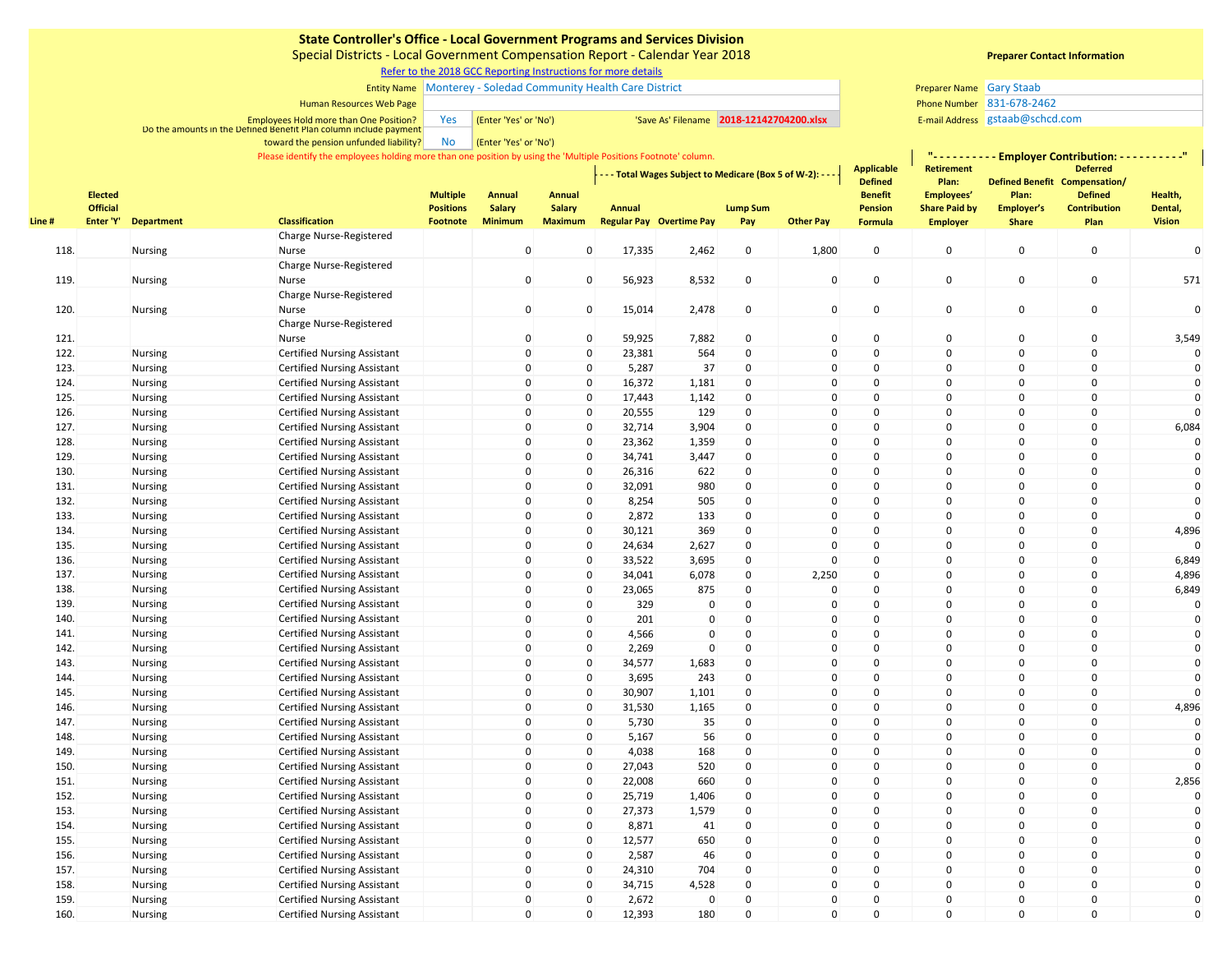Special Districts - Local Government Compensation Report - Calendar Year 2018

## [R](https://www.sco.ca.gov/ard_locinstr_gcc_reporting.html)efer to the 2018 GCC Reporting Instructions for more details

### Entity Name Monterey - Soledad Community Health Care District Gary Staab Gary Staab Gary Staab Gary Staab Gary Staab

#### Human Resources Web Page

Employees Hold more than One Position? The Management of the **'Yes' or 'No')** 'Save As' Filename 2018-12142704200.xlsx E-mail Address E-mail Address Do the amounts in the Defined Benefit Plan column include payment

No (Enter 'Yes' or 'No') toward the pension unfunded liability?

Please identify the employees holding more than one position by using the 'Multiple Positions Footnote' column.

|        |                                   |                   | Please identify the employees holding more than one position by using the 'Multiple Positions Footnote' column. | <b>Applicable</b>                   | <u> "Lisieisis</u><br>-------7<br>- Employer Contribution: - -<br><b>Retirement</b><br><b>Deferred</b> |                         |        |                                 |                 |                                                               |                           |                                    |                            |                                       |                    |
|--------|-----------------------------------|-------------------|-----------------------------------------------------------------------------------------------------------------|-------------------------------------|--------------------------------------------------------------------------------------------------------|-------------------------|--------|---------------------------------|-----------------|---------------------------------------------------------------|---------------------------|------------------------------------|----------------------------|---------------------------------------|--------------------|
|        |                                   |                   |                                                                                                                 |                                     |                                                                                                        |                         |        |                                 |                 | - - - - Total Wages Subject to Medicare (Box 5 of W-2): - - - | <b>Defined</b>            | Plan:                              |                            | Defined Benefit Compensation/         |                    |
|        | <b>Elected</b><br><b>Official</b> |                   |                                                                                                                 | <b>Multiple</b><br><b>Positions</b> | <b>Annual</b><br><b>Salary</b>                                                                         | <b>Annual</b><br>Salary | Annual |                                 | <b>Lump Sum</b> |                                                               | <b>Benefit</b><br>Pension | Employees'<br><b>Share Paid by</b> | Plan:<br><b>Employer's</b> | <b>Defined</b><br><b>Contribution</b> | Health,<br>Dental, |
| Line # | Enter 'Y'                         | <b>Department</b> | <b>Classification</b>                                                                                           | <b>Footnote</b>                     | <b>Minimum</b>                                                                                         | <b>Maximum</b>          |        | <b>Regular Pay Overtime Pay</b> | Pay             | <b>Other Pay</b>                                              | Formula                   | <b>Employer</b>                    | <b>Share</b>               | Plan                                  | <b>Vision</b>      |
|        |                                   |                   | Charge Nurse-Registered                                                                                         |                                     |                                                                                                        |                         |        |                                 |                 |                                                               |                           |                                    |                            |                                       |                    |
| 118.   |                                   | Nursing           | Nurse                                                                                                           |                                     | $\mathbf 0$                                                                                            | $\mathbf 0$             | 17,335 | 2,462                           | $\mathsf 0$     | 1,800                                                         | $\mathbf 0$               | $\mathbf 0$                        | $\mathsf{O}\xspace$        | $\mathsf 0$                           | $\mathbf 0$        |
|        |                                   |                   | Charge Nurse-Registered                                                                                         |                                     |                                                                                                        |                         |        |                                 |                 |                                                               |                           |                                    |                            |                                       |                    |
| 119.   |                                   | Nursing           | Nurse                                                                                                           |                                     | $\mathbf{0}$                                                                                           | $\mathbf 0$             | 56,923 | 8,532                           | $\pmb{0}$       | $\mathbf 0$                                                   | $\pmb{0}$                 | $\mathbf 0$                        | $\mathsf{O}\xspace$        | $\pmb{0}$                             | 571                |
|        |                                   |                   | Charge Nurse-Registered                                                                                         |                                     |                                                                                                        |                         |        |                                 |                 |                                                               |                           |                                    |                            |                                       |                    |
| 120.   |                                   | Nursing           | Nurse                                                                                                           |                                     | $\mathbf 0$                                                                                            | $\mathsf 0$             | 15,014 | 2,478                           | $\mathsf 0$     | $\mathbf 0$                                                   | $\mathsf 0$               | $\mathbf 0$                        | $\mathsf 0$                | 0                                     | $\mathbf{0}$       |
|        |                                   |                   | Charge Nurse-Registered                                                                                         |                                     |                                                                                                        |                         |        |                                 |                 |                                                               |                           |                                    |                            |                                       |                    |
| 121.   |                                   |                   | Nurse                                                                                                           |                                     | $\mathbf 0$                                                                                            | $\mathsf 0$             | 59,925 | 7,882                           | 0               | $\mathbf 0$                                                   | $\mathbf 0$               | $\mathbf 0$                        | $\mathsf 0$                | $\mathsf 0$                           | 3,549              |
| 122.   |                                   | <b>Nursing</b>    | <b>Certified Nursing Assistant</b>                                                                              |                                     | $\mathbf{0}$                                                                                           | $\mathbf 0$             | 23,381 | 564                             | $\mathsf 0$     | $\mathbf{0}$                                                  | $\mathbf 0$               | $\mathbf 0$                        | $\mathsf 0$                | 0                                     | $\Omega$           |
| 123.   |                                   | Nursing           | <b>Certified Nursing Assistant</b>                                                                              |                                     | $\Omega$                                                                                               | $\mathsf 0$             | 5,287  | 37                              | $\Omega$        | $\Omega$                                                      | $\mathbf 0$               | $\mathbf 0$                        | $\mathsf 0$                | $\mathsf 0$                           |                    |
| 124.   |                                   | Nursing           | <b>Certified Nursing Assistant</b>                                                                              |                                     | $\mathbf 0$                                                                                            | $\mathbf 0$             | 16,372 | 1,181                           | $\mathbf 0$     | $\mathbf{0}$                                                  | $\mathbf 0$               | $\mathbf 0$                        | $\mathbf 0$                | 0                                     | $\mathbf 0$        |
| 125.   |                                   | <b>Nursing</b>    | <b>Certified Nursing Assistant</b>                                                                              |                                     | $\Omega$                                                                                               | $\mathbf 0$             | 17,443 | 1,142                           | $\Omega$        | $\Omega$                                                      | $\mathbf 0$               | $\mathbf 0$                        | $\mathbf 0$                | 0                                     | $\mathbf 0$        |
| 126.   |                                   | Nursing           | <b>Certified Nursing Assistant</b>                                                                              |                                     | $\Omega$                                                                                               | $\mathbf 0$             | 20,555 | 129                             | $\mathsf 0$     | $\Omega$                                                      | 0                         | $\mathbf 0$                        | $\mathsf 0$                | $\mathsf 0$                           |                    |
| 127.   |                                   | Nursing           | <b>Certified Nursing Assistant</b>                                                                              |                                     | $\mathbf 0$                                                                                            | $\mathbf 0$             | 32,714 | 3,904                           | $\mathbf 0$     | $\Omega$                                                      | 0                         | 0                                  | $\mathbf 0$                | 0                                     | 6,084              |
| 128.   |                                   | Nursing           | <b>Certified Nursing Assistant</b>                                                                              |                                     | $\Omega$                                                                                               | $\mathbf 0$             | 23,362 | 1,359                           | $\Omega$        | $\Omega$                                                      | $\Omega$                  | $\Omega$                           | $\mathbf 0$                | 0                                     |                    |
| 129.   |                                   | Nursing           | <b>Certified Nursing Assistant</b>                                                                              |                                     | $\mathbf 0$                                                                                            | $\mathbf 0$             | 34,741 | 3,447                           | $\mathsf 0$     | $\mathbf 0$                                                   | $\mathbf 0$               | $\mathbf 0$                        | $\mathsf 0$                | $\mathsf 0$                           |                    |
| 130.   |                                   | <b>Nursing</b>    | <b>Certified Nursing Assistant</b>                                                                              |                                     | $\mathbf 0$                                                                                            | $\mathbf 0$             | 26,316 | 622                             | 0               | $\Omega$                                                      | $\mathbf 0$               | $\mathbf 0$                        | $\mathsf 0$                | 0                                     | $\mathbf 0$        |
| 131.   |                                   | Nursing           | <b>Certified Nursing Assistant</b>                                                                              |                                     | $\Omega$                                                                                               | $\mathbf 0$             | 32,091 | 980                             | $\mathbf 0$     | $\Omega$                                                      | $\mathbf 0$               | $\mathbf 0$                        | $\mathbf 0$                | $\mathbf 0$                           | $\mathbf 0$        |
| 132.   |                                   | Nursing           | <b>Certified Nursing Assistant</b>                                                                              |                                     | 0                                                                                                      | $\mathbf 0$             | 8,254  | 505                             | $\mathbf 0$     | $\Omega$                                                      | $\mathbf 0$               | $\mathbf 0$                        | $\mathsf 0$                | $\mathsf 0$                           | $\mathbf 0$        |
| 133.   |                                   | <b>Nursing</b>    | <b>Certified Nursing Assistant</b>                                                                              |                                     | $\mathbf{0}$                                                                                           | $\mathbf 0$             | 2,872  | 133                             | $\mathbf 0$     | $\Omega$                                                      | 0                         | $\mathbf 0$                        | $\mathbf 0$                | 0                                     |                    |
| 134.   |                                   | Nursing           | <b>Certified Nursing Assistant</b>                                                                              |                                     | $\mathbf 0$                                                                                            | $\mathsf 0$             | 30,121 | 369                             | $\mathsf 0$     | $\Omega$                                                      | 0                         | $\mathbf 0$                        | $\mathsf 0$                | 0                                     | 4,896              |
| 135.   |                                   | <b>Nursing</b>    | <b>Certified Nursing Assistant</b>                                                                              |                                     | $\Omega$                                                                                               | $\mathbf 0$             | 24,634 | 2,627                           | 0               | $\Omega$                                                      | $\mathsf{o}\,$            | $\mathbf 0$                        | $\mathbf 0$                | 0                                     |                    |
| 136.   |                                   | <b>Nursing</b>    | <b>Certified Nursing Assistant</b>                                                                              |                                     | $\Omega$                                                                                               | $\mathbf 0$             | 33,522 | 3,695                           | $\Omega$        | $\mathbf{0}$                                                  | $\Omega$                  | $\mathbf 0$                        | $\mathbf 0$                | $\mathbf 0$                           | 6,849              |
| 137.   |                                   | Nursing           | <b>Certified Nursing Assistant</b>                                                                              |                                     | $\mathbf 0$                                                                                            | $\mathbf 0$             | 34,041 | 6,078                           | $\mathsf 0$     | 2,250                                                         | $\mathbf 0$               | $\mathbf 0$                        | $\mathsf 0$                | $\pmb{0}$                             | 4,896              |
| 138.   |                                   | <b>Nursing</b>    | <b>Certified Nursing Assistant</b>                                                                              |                                     | $\mathbf 0$                                                                                            | $\mathbf 0$             | 23,065 | 875                             | 0               | $\mathbf 0$                                                   | $\mathbf 0$               | 0                                  | $\mathbf 0$                | 0                                     | 6,849              |
| 139.   |                                   | Nursing           | <b>Certified Nursing Assistant</b>                                                                              |                                     | $\Omega$                                                                                               | $\mathbf 0$             | 329    | 0                               | $\Omega$        | $\mathbf{0}$                                                  | $\mathbf 0$               | $\mathbf 0$                        | $\mathbf 0$                | 0                                     |                    |
| 140.   |                                   | Nursing           | <b>Certified Nursing Assistant</b>                                                                              |                                     | $\mathbf 0$                                                                                            | $\mathbf 0$             | 201    | $\mathbf 0$                     | $\mathbf 0$     | $\Omega$                                                      | $\mathbf 0$               | $\mathbf 0$                        | $\mathsf 0$                | $\mathsf 0$                           | 0                  |
| 141.   |                                   | Nursing           | <b>Certified Nursing Assistant</b>                                                                              |                                     | $\Omega$                                                                                               | $\mathbf 0$             | 4,566  | $\mathbf 0$                     | $\Omega$        | $\Omega$                                                      | $\Omega$                  | $\Omega$                           | $\mathbf 0$                | 0                                     |                    |
| 142.   |                                   | Nursing           | <b>Certified Nursing Assistant</b>                                                                              |                                     | $\mathbf 0$                                                                                            | $\mathbf 0$             | 2,269  | $\mathsf{O}\xspace$             | $\mathsf 0$     | $\Omega$                                                      | 0                         | 0                                  | $\mathsf 0$                | 0                                     | $\mathbf 0$        |
| 143.   |                                   | Nursing           | <b>Certified Nursing Assistant</b>                                                                              |                                     | $\mathbf 0$                                                                                            | $\mathbf 0$             | 34,577 | 1,683                           | $\mathbf 0$     | $\Omega$                                                      | $\mathbf 0$               | $\Omega$                           | $\pmb{0}$                  | $\Omega$                              | $\mathbf 0$        |
| 144.   |                                   | <b>Nursing</b>    | <b>Certified Nursing Assistant</b>                                                                              |                                     | 0                                                                                                      | $\mathbf 0$             | 3,695  | 243                             | $\Omega$        | $\Omega$                                                      | $\mathbf 0$               | $\Omega$                           | $\mathsf 0$                | 0                                     | $\Omega$           |
| 145.   |                                   | Nursing           | <b>Certified Nursing Assistant</b>                                                                              |                                     | $\mathbf 0$                                                                                            | $\mathbf 0$             | 30,907 | 1,101                           | $\mathsf 0$     | $\Omega$                                                      | $\mathbf 0$               | $\mathbf 0$                        | $\mathsf 0$                | 0                                     | $\mathbf 0$        |
| 146.   |                                   | <b>Nursing</b>    | <b>Certified Nursing Assistant</b>                                                                              |                                     | 0                                                                                                      | $\mathbf 0$             | 31,530 | 1,165                           | $\mathbf 0$     | $\mathbf{0}$                                                  | $\mathbf 0$               | $\mathbf 0$                        | 0                          | 0                                     | 4,896              |
| 147.   |                                   | Nursing           | <b>Certified Nursing Assistant</b>                                                                              |                                     | $\Omega$                                                                                               | $\mathbf 0$             | 5,730  | 35                              | $\mathbf 0$     | $\Omega$                                                      | $\mathbf 0$               | $\mathbf 0$                        | $\mathbf 0$                | 0                                     | 0                  |
| 148.   |                                   | Nursing           | <b>Certified Nursing Assistant</b>                                                                              |                                     | $\mathbf 0$                                                                                            | $\mathbf 0$             | 5,167  | 56                              | $\mathbf 0$     | $\Omega$                                                      | $\mathbf 0$               | $\mathbf 0$                        | $\mathsf 0$                | $\mathsf 0$                           |                    |
| 149.   |                                   | <b>Nursing</b>    | <b>Certified Nursing Assistant</b>                                                                              |                                     | $\mathbf{0}$                                                                                           | $\mathbf 0$             | 4,038  | 168                             | $\mathbf 0$     | $\Omega$                                                      | 0                         | $\mathbf 0$                        | $\mathbf 0$                | 0                                     | $\mathbf 0$        |
| 150.   |                                   | Nursing           | <b>Certified Nursing Assistant</b>                                                                              |                                     | $\Omega$                                                                                               | $\mathbf 0$             | 27,043 | 520                             | $\Omega$        | $\mathbf{0}$                                                  | $\Omega$                  | $\Omega$                           | $\mathbf 0$                | $\Omega$                              |                    |
| 151.   |                                   | Nursing           | <b>Certified Nursing Assistant</b>                                                                              |                                     | 0                                                                                                      | $\mathbf 0$             | 22,008 | 660                             | $\Omega$        | $\Omega$                                                      | $\mathbf 0$               | $\mathbf 0$                        | $\pmb{0}$                  | $\mathsf 0$                           | 2,856              |
| 152.   |                                   | <b>Nursing</b>    | <b>Certified Nursing Assistant</b>                                                                              |                                     | $\Omega$                                                                                               | $\mathbf 0$             | 25,719 | 1,406                           | $\mathsf 0$     | $\Omega$                                                      | $\mathbf 0$               | $\mathbf 0$                        | $\mathbf 0$                | 0                                     |                    |
| 153.   |                                   | Nursing           | <b>Certified Nursing Assistant</b>                                                                              |                                     | $\Omega$                                                                                               | $\mathbf 0$             | 27,373 | 1,579                           | 0               | $\Omega$                                                      | $\mathbf 0$               | $\mathbf 0$                        | 0                          | $\mathsf 0$                           |                    |
| 154.   |                                   | Nursing           | <b>Certified Nursing Assistant</b>                                                                              |                                     | $\Omega$                                                                                               | $\mathbf 0$             | 8,871  | 41                              | $\Omega$        | $\mathbf{0}$                                                  | $\mathbf 0$               | $\Omega$                           | $\mathbf 0$                | $\mathsf 0$                           | 0                  |
| 155.   |                                   | Nursing           | <b>Certified Nursing Assistant</b>                                                                              |                                     | $\Omega$                                                                                               | $\mathbf 0$             | 12,577 | 650                             | $\Omega$        | $\mathbf{0}$                                                  | $\Omega$                  | $\mathbf 0$                        | $\mathbf 0$                | $\mathbf 0$                           |                    |
| 156.   |                                   | Nursing           | <b>Certified Nursing Assistant</b>                                                                              |                                     | $\mathbf 0$                                                                                            | $\mathsf 0$             | 2,587  | 46                              | $\mathsf 0$     | $\Omega$                                                      | 0                         | $\mathbf 0$                        | $\mathsf 0$                | 0                                     |                    |
| 157.   |                                   | Nursing           | <b>Certified Nursing Assistant</b>                                                                              |                                     | 0                                                                                                      | $\mathbf 0$             | 24,310 | 704                             | $\Omega$        | $\Omega$                                                      | $\mathbf 0$               | $\mathbf 0$                        | $\mathbf 0$                | $\Omega$                              |                    |
| 158.   |                                   | Nursing           | <b>Certified Nursing Assistant</b>                                                                              |                                     | $\Omega$                                                                                               | $\mathbf 0$             | 34,715 | 4,528                           | $\Omega$        | $\Omega$                                                      | $\Omega$                  | $\Omega$                           | $\Omega$                   | $\Omega$                              | $\Omega$           |
| 159.   |                                   | <b>Nursing</b>    | <b>Certified Nursing Assistant</b>                                                                              |                                     | $\mathbf 0$                                                                                            | $\mathbf 0$             | 2,672  | 0                               | $\Omega$        | $\Omega$                                                      | $\mathbf 0$               | 0                                  | $\mathbf 0$                | 0                                     | $\mathbf 0$        |
| 160.   |                                   | <b>Nursing</b>    | <b>Certified Nursing Assistant</b>                                                                              |                                     | $\Omega$                                                                                               | $\Omega$                | 12,393 | 180                             | $\Omega$        | $\Omega$                                                      | $\Omega$                  | $\Omega$                           | $\Omega$                   | $\mathbf 0$                           |                    |

## **Preparer Contact Information**

Phone Number 831-678-2462